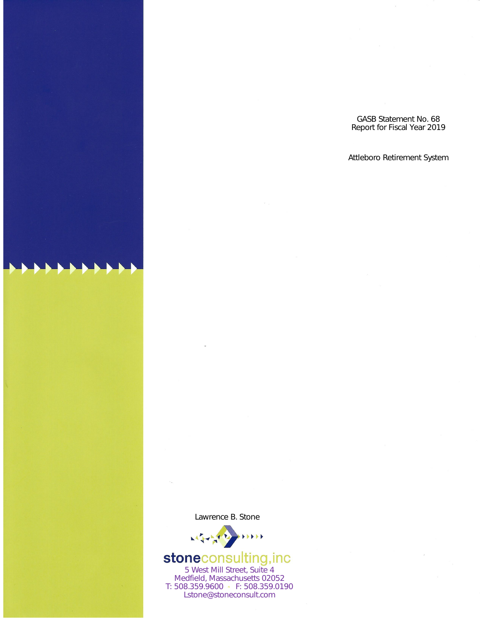GASB Statement No. 68<br>Report for Fiscal Year 2019

# Attleboro Retirement System

Lawrence B. Stone



# **stoneconsulting, inc**<br>5 West Mill Street, Suite 4

Medfield, Massachusetts 02052 T: 508.359.9600 • F: 508.359.0190 Lstone@stoneconsult.com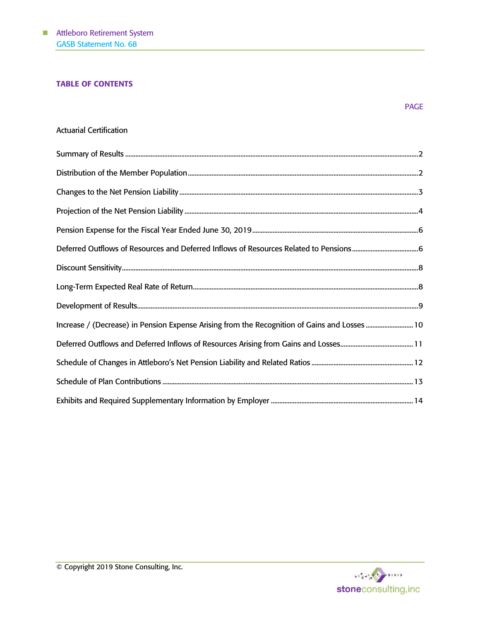# TABLE OF CONTENTS

| <b>Actuarial Certification</b> |  |
|--------------------------------|--|
|                                |  |

| Increase / (Decrease) in Pension Expense Arising from the Recognition of Gains and Losses  10 |  |
|-----------------------------------------------------------------------------------------------|--|
|                                                                                               |  |
|                                                                                               |  |
|                                                                                               |  |
|                                                                                               |  |

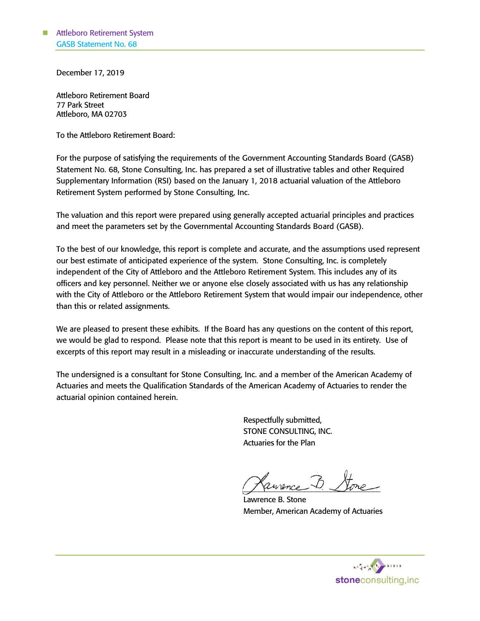December 17, 2019

Attleboro Retirement Board 77 Park Street Attleboro, MA 02703

To the Attleboro Retirement Board:

For the purpose of satisfying the requirements of the Government Accounting Standards Board (GASB) Statement No. 68, Stone Consulting, Inc. has prepared a set of illustrative tables and other Required Supplementary Information (RSI) based on the January 1, 2018 actuarial valuation of the Attleboro Retirement System performed by Stone Consulting, Inc.

The valuation and this report were prepared using generally accepted actuarial principles and practices and meet the parameters set by the Governmental Accounting Standards Board (GASB).

To the best of our knowledge, this report is complete and accurate, and the assumptions used represent our best estimate of anticipated experience of the system. Stone Consulting, Inc. is completely independent of the City of Attleboro and the Attleboro Retirement System. This includes any of its officers and key personnel. Neither we or anyone else closely associated with us has any relationship with the City of Attleboro or the Attleboro Retirement System that would impair our independence, other than this or related assignments.

We are pleased to present these exhibits. If the Board has any questions on the content of this report, we would be glad to respond. Please note that this report is meant to be used in its entirety. Use of excerpts of this report may result in a misleading or inaccurate understanding of the results.

The undersigned is a consultant for Stone Consulting, Inc. and a member of the American Academy of Actuaries and meets the Qualification Standards of the American Academy of Actuaries to render the actuarial opinion contained herein.

> Respectfully submitted, STONE CONSULTING, INC. Actuaries for the Plan

Jeurnie Lore

Lawrence B. Stone Member, American Academy of Actuaries

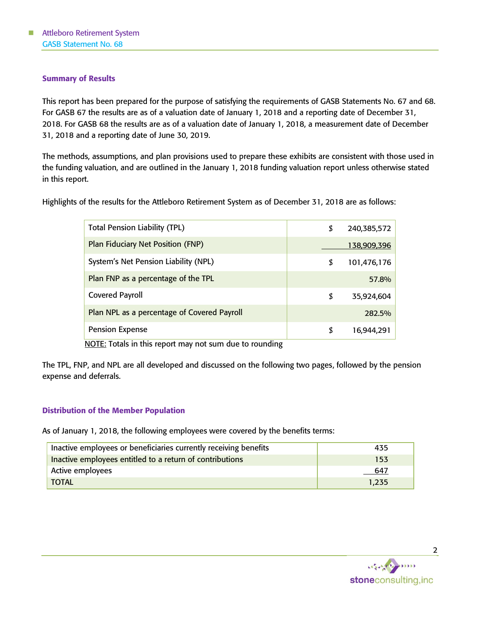## Summary of Results

This report has been prepared for the purpose of satisfying the requirements of GASB Statements No. 67 and 68. For GASB 67 the results are as of a valuation date of January 1, 2018 and a reporting date of December 31, 2018. For GASB 68 the results are as of a valuation date of January 1, 2018, a measurement date of December 31, 2018 and a reporting date of June 30, 2019.

The methods, assumptions, and plan provisions used to prepare these exhibits are consistent with those used in the funding valuation, and are outlined in the January 1, 2018 funding valuation report unless otherwise stated in this report.

Highlights of the results for the Attleboro Retirement System as of December 31, 2018 are as follows:

| <b>Total Pension Liability (TPL)</b>        | \$<br>240,385,572 |
|---------------------------------------------|-------------------|
| Plan Fiduciary Net Position (FNP)           | 138,909,396       |
| System's Net Pension Liability (NPL)        | \$<br>101,476,176 |
| Plan FNP as a percentage of the TPL         | 57.8%             |
| <b>Covered Payroll</b>                      | \$<br>35,924,604  |
| Plan NPL as a percentage of Covered Payroll | 282.5%            |
| <b>Pension Expense</b>                      | \$<br>16,944,291  |

NOTE: Totals in this report may not sum due to rounding

The TPL, FNP, and NPL are all developed and discussed on the following two pages, followed by the pension expense and deferrals.

#### Distribution of the Member Population

As of January 1, 2018, the following employees were covered by the benefits terms:

| Inactive employees or beneficiaries currently receiving benefits | 435   |
|------------------------------------------------------------------|-------|
| Inactive employees entitled to a return of contributions         | 153   |
| Active employees                                                 | 647   |
| TOTAL                                                            | 1.235 |

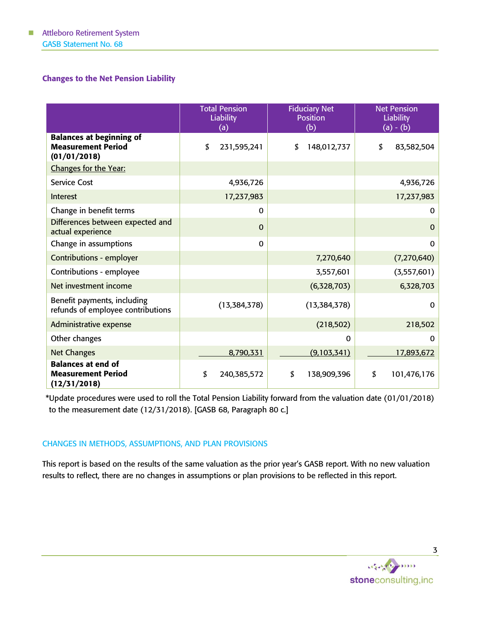# Changes to the Net Pension Liability

|                                                                              | <b>Fiduciary Net</b><br><b>Total Pension</b><br><b>Liability</b><br><b>Position</b><br>(b)<br>(a) |                   | <b>Net Pension</b><br><b>Liability</b><br>$(a) - (b)$ |
|------------------------------------------------------------------------------|---------------------------------------------------------------------------------------------------|-------------------|-------------------------------------------------------|
| <b>Balances at beginning of</b><br><b>Measurement Period</b><br>(01/01/2018) | 231,595,241<br>\$                                                                                 | 148,012,737<br>\$ | \$<br>83,582,504                                      |
| Changes for the Year:                                                        |                                                                                                   |                   |                                                       |
| <b>Service Cost</b>                                                          | 4,936,726                                                                                         |                   | 4,936,726                                             |
| Interest                                                                     | 17,237,983                                                                                        |                   | 17,237,983                                            |
| Change in benefit terms                                                      | 0                                                                                                 |                   | 0                                                     |
| Differences between expected and<br>actual experience                        | $\Omega$                                                                                          |                   | $\mathbf 0$                                           |
| Change in assumptions                                                        | $\mathbf 0$                                                                                       |                   | $\mathbf 0$                                           |
| <b>Contributions - employer</b>                                              |                                                                                                   | 7,270,640         | (7, 270, 640)                                         |
| Contributions - employee                                                     |                                                                                                   | 3,557,601         | (3,557,601)                                           |
| Net investment income                                                        |                                                                                                   | (6,328,703)       | 6,328,703                                             |
| Benefit payments, including<br>refunds of employee contributions             | (13, 384, 378)                                                                                    | (13, 384, 378)    |                                                       |
| Administrative expense                                                       | (218, 502)                                                                                        |                   | 218,502                                               |
| Other changes                                                                |                                                                                                   | $\Omega$          | $\mathbf{0}$                                          |
| <b>Net Changes</b>                                                           | 8,790,331                                                                                         | (9,103,341)       | 17,893,672                                            |
| <b>Balances at end of</b><br><b>Measurement Period</b><br>(12/31/2018)       | \$<br>240,385,572                                                                                 | \$<br>138,909,396 | \$<br>101,476,176                                     |

\*Update procedures were used to roll the Total Pension Liability forward from the valuation date (01/01/2018) to the measurement date (12/31/2018). [GASB 68, Paragraph 80 c.]

# CHANGES IN METHODS, ASSUMPTIONS, AND PLAN PROVISIONS

This report is based on the results of the same valuation as the prior year's GASB report. With no new valuation results to reflect, there are no changes in assumptions or plan provisions to be reflected in this report.

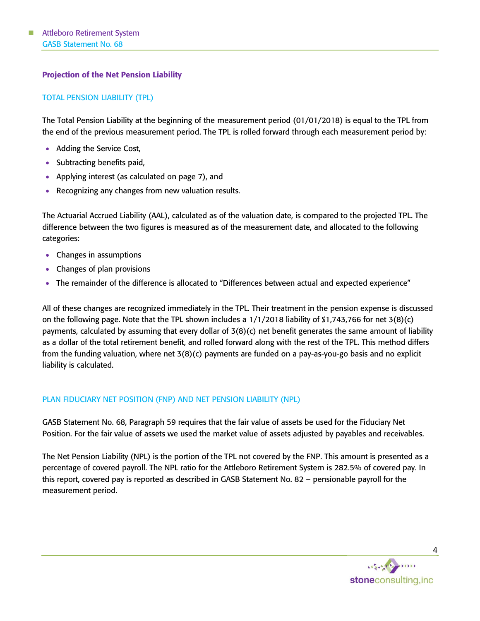# Projection of the Net Pension Liability

## TOTAL PENSION LIABILITY (TPL)

The Total Pension Liability at the beginning of the measurement period (01/01/2018) is equal to the TPL from the end of the previous measurement period. The TPL is rolled forward through each measurement period by:

- Adding the Service Cost,
- Subtracting benefits paid,
- Applying interest (as calculated on page 7), and
- Recognizing any changes from new valuation results.

The Actuarial Accrued Liability (AAL), calculated as of the valuation date, is compared to the projected TPL. The difference between the two figures is measured as of the measurement date, and allocated to the following categories:

- Changes in assumptions
- Changes of plan provisions
- The remainder of the difference is allocated to "Differences between actual and expected experience"

All of these changes are recognized immediately in the TPL. Their treatment in the pension expense is discussed on the following page. Note that the TPL shown includes a 1/1/2018 liability of \$1,743,766 for net 3(8)(c) payments, calculated by assuming that every dollar of 3(8)(c) net benefit generates the same amount of liability as a dollar of the total retirement benefit, and rolled forward along with the rest of the TPL. This method differs from the funding valuation, where net 3(8)(c) payments are funded on a pay-as-you-go basis and no explicit liability is calculated.

#### PLAN FIDUCIARY NET POSITION (FNP) AND NET PENSION LIABILITY (NPL)

GASB Statement No. 68, Paragraph 59 requires that the fair value of assets be used for the Fiduciary Net Position. For the fair value of assets we used the market value of assets adjusted by payables and receivables.

The Net Pension Liability (NPL) is the portion of the TPL not covered by the FNP. This amount is presented as a percentage of covered payroll. The NPL ratio for the Attleboro Retirement System is 282.5% of covered pay. In this report, covered pay is reported as described in GASB Statement No. 82 – pensionable payroll for the measurement period.

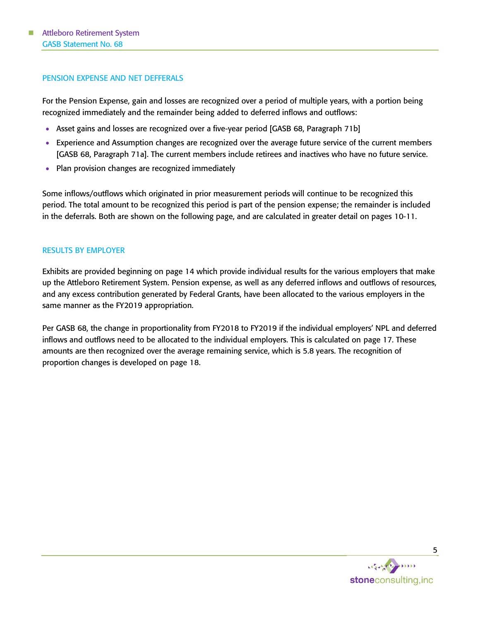#### PENSION EXPENSE AND NET DEFFERALS

For the Pension Expense, gain and losses are recognized over a period of multiple years, with a portion being recognized immediately and the remainder being added to deferred inflows and outflows:

- Asset gains and losses are recognized over a five-year period [GASB 68, Paragraph 71b]
- Experience and Assumption changes are recognized over the average future service of the current members [GASB 68, Paragraph 71a]. The current members include retirees and inactives who have no future service.
- Plan provision changes are recognized immediately

Some inflows/outflows which originated in prior measurement periods will continue to be recognized this period. The total amount to be recognized this period is part of the pension expense; the remainder is included in the deferrals. Both are shown on the following page, and are calculated in greater detail on pages 10-11.

#### RESULTS BY EMPLOYER

Exhibits are provided beginning on page 14 which provide individual results for the various employers that make up the Attleboro Retirement System. Pension expense, as well as any deferred inflows and outflows of resources, and any excess contribution generated by Federal Grants, have been allocated to the various employers in the same manner as the FY2019 appropriation.

Per GASB 68, the change in proportionality from FY2018 to FY2019 if the individual employers' NPL and deferred inflows and outflows need to be allocated to the individual employers. This is calculated on page 17. These amounts are then recognized over the average remaining service, which is 5.8 years. The recognition of proportion changes is developed on page 18.

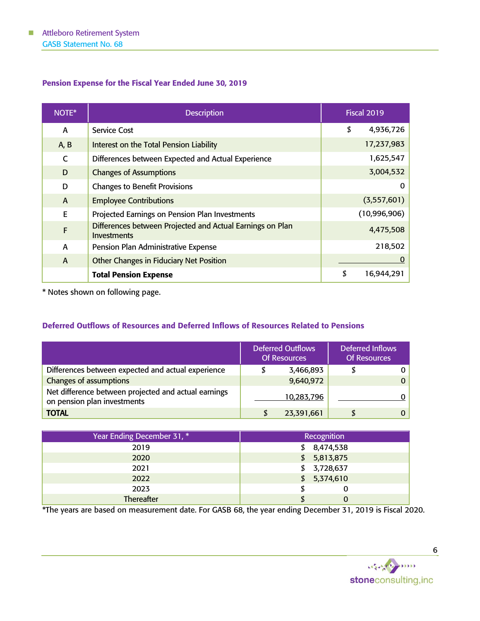# Pension Expense for the Fiscal Year Ended June 30, 2019

| NOTE*        | <b>Description</b>                                                              | <b>Fiscal 2019</b> |
|--------------|---------------------------------------------------------------------------------|--------------------|
| A            | <b>Service Cost</b>                                                             | \$<br>4,936,726    |
| A, B         | Interest on the Total Pension Liability                                         | 17,237,983         |
| $\mathsf{C}$ | Differences between Expected and Actual Experience                              | 1,625,547          |
| D            | <b>Changes of Assumptions</b>                                                   | 3,004,532          |
| D            | <b>Changes to Benefit Provisions</b>                                            | 0                  |
| $\mathsf{A}$ | <b>Employee Contributions</b>                                                   | (3,557,601)        |
| E            | Projected Earnings on Pension Plan Investments                                  | (10,996,906)       |
| $\mathsf{F}$ | Differences between Projected and Actual Earnings on Plan<br><b>Investments</b> | 4,475,508          |
| A            | Pension Plan Administrative Expense                                             | 218,502            |
| $\mathsf{A}$ | Other Changes in Fiduciary Net Position                                         | $\Omega$           |
|              | <b>Total Pension Expense</b>                                                    | \$<br>16,944,291   |

\* Notes shown on following page.

# Deferred Outflows of Resources and Deferred Inflows of Resources Related to Pensions

|                                                                                     |   | <b>Deferred Outflows</b><br><b>Of Resources</b> | <b>Deferred Inflows</b><br><b>Of Resources</b> |          |
|-------------------------------------------------------------------------------------|---|-------------------------------------------------|------------------------------------------------|----------|
| Differences between expected and actual experience                                  |   | 3,466,893                                       |                                                |          |
| <b>Changes of assumptions</b>                                                       |   | 9,640,972                                       |                                                | $\Omega$ |
| Net difference between projected and actual earnings<br>on pension plan investments |   | 10,283,796                                      |                                                |          |
| <b>TOTAL</b>                                                                        | S | 23,391,661                                      |                                                |          |

| Year Ending December 31, * | Recognition |
|----------------------------|-------------|
| 2019                       | \$8,474,538 |
| 2020                       | \$5,813,875 |
| 2021                       | \$3,728,637 |
| 2022                       | \$5,374,610 |
| 2023                       | U           |
| Thereafter                 |             |

\*The years are based on measurement date. For GASB 68, the year ending December 31, 2019 is Fiscal 2020.

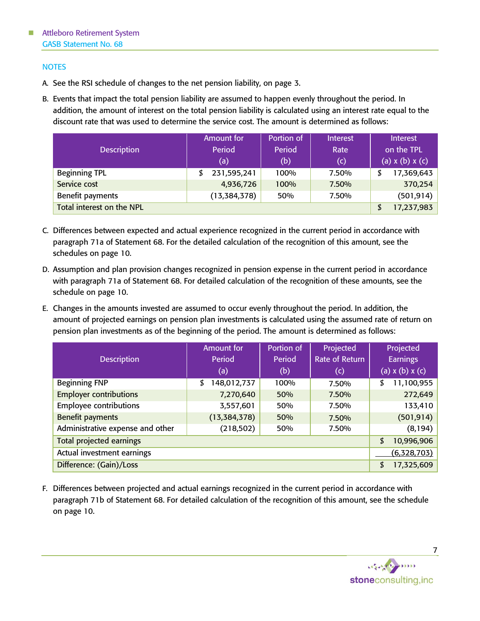# **NOTES**

- A. See the RSI schedule of changes to the net pension liability, on page 3.
- B. Events that impact the total pension liability are assumed to happen evenly throughout the period. In addition, the amount of interest on the total pension liability is calculated using an interest rate equal to the discount rate that was used to determine the service cost. The amount is determined as follows:

| <b>Description</b>        | Amount for<br>Period<br>$\sf(a)$ | Portion of<br>Period<br>(b) | <b>Interest</b><br>Rate<br>(c) | Interest<br>on the TPL<br>(a) $x(b)$ $x(c)$ |
|---------------------------|----------------------------------|-----------------------------|--------------------------------|---------------------------------------------|
| <b>Beginning TPL</b>      | 231,595,241                      | 100%                        | 7.50%                          | 17,369,643                                  |
| Service cost              | 4,936,726                        | 100%                        | 7.50%                          | 370,254                                     |
| Benefit payments          | (13, 384, 378)                   | 50%                         | 7.50%                          | (501, 914)                                  |
| Total interest on the NPL | 17,237,983<br>\$                 |                             |                                |                                             |

- C. Differences between expected and actual experience recognized in the current period in accordance with paragraph 71a of Statement 68. For the detailed calculation of the recognition of this amount, see the schedules on page 10.
- D. Assumption and plan provision changes recognized in pension expense in the current period in accordance with paragraph 71a of Statement 68. For detailed calculation of the recognition of these amounts, see the schedule on page 10.
- E. Changes in the amounts invested are assumed to occur evenly throughout the period. In addition, the amount of projected earnings on pension plan investments is calculated using the assumed rate of return on pension plan investments as of the beginning of the period. The amount is determined as follows:

|                                  | <b>Amount for</b>          | Portion of | Projected      | Projected<br><b>Earnings</b> |  |
|----------------------------------|----------------------------|------------|----------------|------------------------------|--|
| <b>Description</b>               | Period                     | Period     | Rate of Return |                              |  |
|                                  | (a)                        | (b)        | (c)            | $(a)$ x $(b)$ x $(c)$        |  |
| <b>Beginning FNP</b>             | 148,012,737<br>\$          | 100%       | 7.50%          | 11,100,955<br>\$             |  |
| <b>Employer contributions</b>    | 7,270,640                  | 50%        | 7.50%          | 272,649                      |  |
| <b>Employee contributions</b>    | 3,557,601                  | 50%        | 7.50%          | 133,410                      |  |
| <b>Benefit payments</b>          | (13, 384, 378)             | 50%        | 7.50%          | (501, 914)                   |  |
| Administrative expense and other | (218, 502)<br>50%<br>7.50% |            | (8, 194)       |                              |  |
| <b>Total projected earnings</b>  | 10,996,906<br>\$           |            |                |                              |  |
| Actual investment earnings       | (6,328,703)                |            |                |                              |  |
| Difference: (Gain)/Loss          | 17,325,609<br>\$           |            |                |                              |  |

F. Differences between projected and actual earnings recognized in the current period in accordance with paragraph 71b of Statement 68. For detailed calculation of the recognition of this amount, see the schedule on page 10.

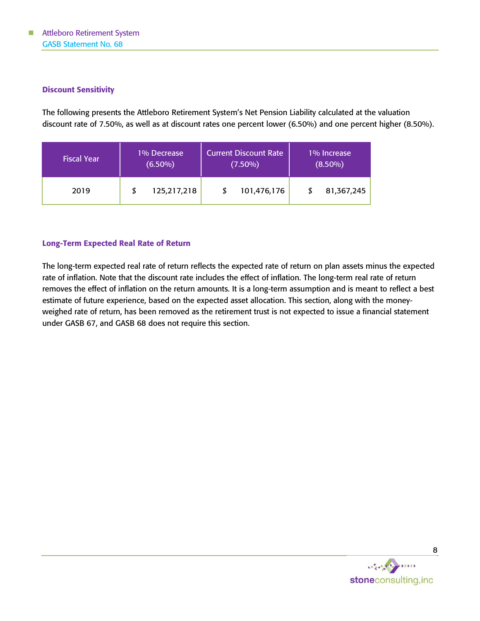## Discount Sensitivity

The following presents the Attleboro Retirement System's Net Pension Liability calculated at the valuation discount rate of 7.50%, as well as at discount rates one percent lower (6.50%) and one percent higher (8.50%).

| <b>Fiscal Year</b> | 1% Decrease |             | <b>Current Discount Rate</b> |             | 1% Increase |            |
|--------------------|-------------|-------------|------------------------------|-------------|-------------|------------|
|                    | $(6.50\%)$  |             | $(7.50\%)$                   |             | $(8.50\%)$  |            |
| 2019               |             | 125,217,218 |                              | 101,476,176 |             | 81,367,245 |

## Long-Term Expected Real Rate of Return

The long-term expected real rate of return reflects the expected rate of return on plan assets minus the expected rate of inflation. Note that the discount rate includes the effect of inflation. The long-term real rate of return removes the effect of inflation on the return amounts. It is a long-term assumption and is meant to reflect a best estimate of future experience, based on the expected asset allocation. This section, along with the moneyweighed rate of return, has been removed as the retirement trust is not expected to issue a financial statement under GASB 67, and GASB 68 does not require this section.

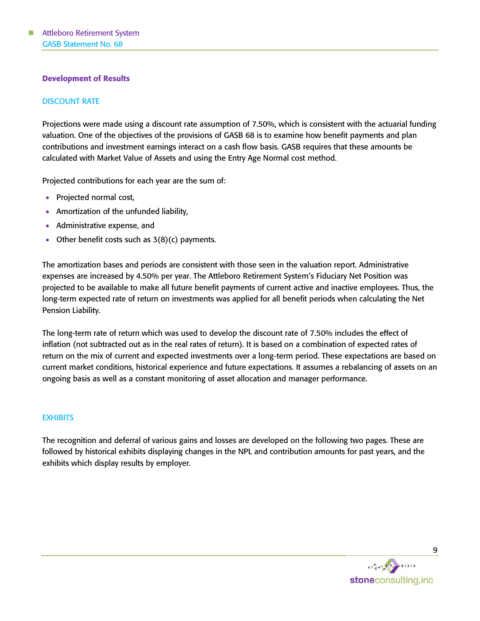## Development of Results

## DISCOUNT RATE

Projections were made using a discount rate assumption of 7.50%, which is consistent with the actuarial funding valuation. One of the objectives of the provisions of GASB 68 is to examine how benefit payments and plan contributions and investment earnings interact on a cash flow basis. GASB requires that these amounts be calculated with Market Value of Assets and using the Entry Age Normal cost method.

Projected contributions for each year are the sum of:

- Projected normal cost,
- Amortization of the unfunded liability,
- Administrative expense, and
- Other benefit costs such as  $3(8)(c)$  payments.

The amortization bases and periods are consistent with those seen in the valuation report. Administrative expenses are increased by 4.50% per year. The Attleboro Retirement System's Fiduciary Net Position was projected to be available to make all future benefit payments of current active and inactive employees. Thus, the long-term expected rate of return on investments was applied for all benefit periods when calculating the Net Pension Liability.

The long-term rate of return which was used to develop the discount rate of 7.50% includes the effect of inflation (not subtracted out as in the real rates of return). It is based on a combination of expected rates of return on the mix of current and expected investments over a long-term period. These expectations are based on current market conditions, historical experience and future expectations. It assumes a rebalancing of assets on an ongoing basis as well as a constant monitoring of asset allocation and manager performance.

#### **EXHIBITS**

The recognition and deferral of various gains and losses are developed on the following two pages. These are followed by historical exhibits displaying changes in the NPL and contribution amounts for past years, and the exhibits which display results by employer.

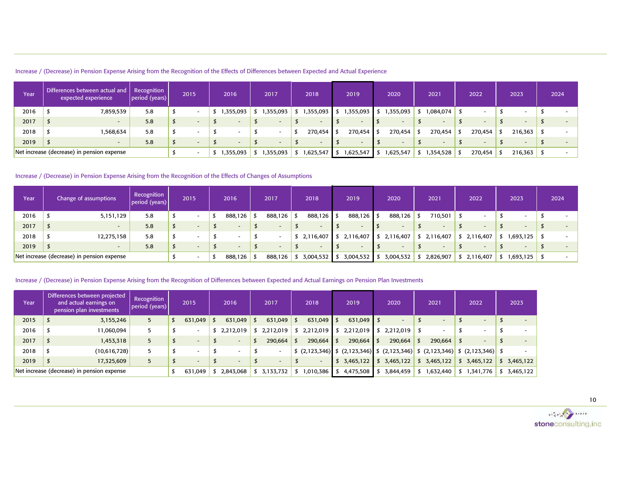|  |  |  |  | Increase / (Decrease) in Pension Expense Arising from the Recognition of the Effects of Differences between Expected and Actual Experience |  |
|--|--|--|--|--------------------------------------------------------------------------------------------------------------------------------------------|--|
|  |  |  |  |                                                                                                                                            |  |

| Year | Differences between actual and<br>expected experience | Recognition<br> period (years) | 2015 |                          | 2016    | 2017                     | 2018              | 2019                | 2020                     | 2021      | 2022                     | 2023                     | 2024 |
|------|-------------------------------------------------------|--------------------------------|------|--------------------------|---------|--------------------------|-------------------|---------------------|--------------------------|-----------|--------------------------|--------------------------|------|
| 2016 | 7,859,539                                             | 5.8                            |      | $\overline{\phantom{0}}$ | 355,093 | 355,093                  | ,355,093          | 1,355,093 \$<br>- S | 1,355,093                | 084,074.ا | $\overline{\phantom{0}}$ |                          |      |
| 2017 | $\sim$                                                | 5.8                            |      | $\overline{\phantom{a}}$ |         | $\overline{\phantom{0}}$ |                   |                     | $\overline{\phantom{a}}$ |           | $\overline{\phantom{0}}$ | $\overline{\phantom{a}}$ |      |
| 2018 | 1,568,634                                             | 5.8                            |      |                          |         |                          | $270,454$ \$<br>ъ | 270,454 \$          | 270,454                  | 270,454   | 270,454                  | $216,363$ \$             |      |
| 2019 |                                                       | 5.8                            |      | $\sim$                   |         |                          | $\sim$            |                     | $\overline{\phantom{0}}$ |           | $\sim$                   |                          |      |
|      | Net increase (decrease) in pension expense            |                                |      |                          | 355,093 | 355,093,،                | 625,547.          | 1,625,547           | 1,625,547                | 354,528,  | 270,454                  | $216,363$ \$             |      |

#### Increase / (Decrease) in Pension Expense Arising from the Recognition of the Effects of Changes of Assumptions

| Year | Change of assumptions                      | Recognition<br>period (years) | 2015                     | 2016    | 2017                     | 2018        | 2019                     | 2020      | 2021      | 2022                     | 2023      | 2024 |
|------|--------------------------------------------|-------------------------------|--------------------------|---------|--------------------------|-------------|--------------------------|-----------|-----------|--------------------------|-----------|------|
| 2016 | 5,151,129                                  | 5.8                           | $\overline{\phantom{0}}$ | 888,126 | 888,126                  | 888,126 \$  | 888,126 \$               | 888,126   | 710,501   |                          |           |      |
| 2017 | $\overline{\phantom{0}}$                   | 5.8                           | $\overline{\phantom{a}}$ |         | $\overline{\phantom{0}}$ |             | $\overline{\phantom{a}}$ |           |           | $\overline{\phantom{a}}$ |           |      |
| 2018 | 12,275,158                                 | 5.8                           | $\overline{\phantom{a}}$ |         |                          | \$2,116,407 | 2,116,407                | 2,116,407 | 2,116,407 | 2,116,407                | 1,693,125 |      |
| 2019 | -                                          | 5.8                           | $\overline{\phantom{a}}$ |         |                          |             | $\overline{\phantom{0}}$ |           |           | $\overline{\phantom{a}}$ |           |      |
|      | Net increase (decrease) in pension expense |                               | $\overline{\phantom{0}}$ | 888,126 | 888,126                  | 3,004,532   | 3,004,532                | 3,004,532 | 2,826,907 | 2,116,407                | 1,693,125 |      |

#### Increase / (Decrease) in Pension Expense Arising from the Recognition of Differences between Expected and Actual Earnings on Pension Plan Investments

| Year | Differences between projected<br>and actual earnings on<br>pension plan investments | Recognition<br>period (years) | 2015                     | 2016                     |      | 2017      |      | 2018      |              | 2019         | 2020                          | 2021         | 2022      | 2023      |
|------|-------------------------------------------------------------------------------------|-------------------------------|--------------------------|--------------------------|------|-----------|------|-----------|--------------|--------------|-------------------------------|--------------|-----------|-----------|
| 2015 | 3,155,246                                                                           | 5                             | 631,049                  | 631,049                  | - 55 | 631,049   | - 5  | 631,049   |              | 631,049      |                               | -            | $\sim$    |           |
| 2016 | 11,060,094                                                                          |                               | $\overline{\phantom{0}}$ | \$2,212,019              |      | 2,212,019 |      | 2,212,019 |              | 2,212,019    | $\frac{1}{2}$ \$ 2,212,019 \$ |              |           |           |
| 2017 | 1,453,318                                                                           |                               | $\overline{\phantom{a}}$ | $\overline{\phantom{a}}$ |      | 290,664   | - \$ | 290,664   |              | $290,664$ \$ | $290,664$ \$                  | $290,664$ \$ |           |           |
| 2018 | (10,616,728)                                                                        |                               | $\overline{\phantom{0}}$ |                          |      |           |      |           |              |              |                               |              |           |           |
| 2019 | 17,325,609                                                                          |                               | $\overline{\phantom{a}}$ | $\overline{\phantom{a}}$ |      |           |      |           | $\mathbf{z}$ | 3,465,122    | \$3,465,122                   | \$3,465,122  | 3,465,122 | 3,465,122 |
|      | Net increase (decrease) in pension expense                                          |                               | 631,049                  | 2,843,068                |      | 3,133,732 |      | 1,010,386 |              | 4,475,508    | 3,844,459                     | 632,440,     | 1,341,776 | 3,465,122 |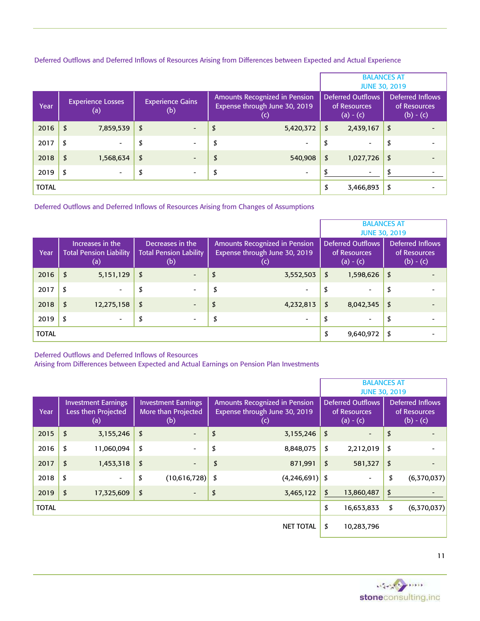| Deferred Outflows and Deferred Inflows of Resources Arising from Differences between Expected and Actual Experience |  |
|---------------------------------------------------------------------------------------------------------------------|--|
|---------------------------------------------------------------------------------------------------------------------|--|

|              |                                      |                                |                                                                       |                                                         | <b>BALANCES AT</b><br><b>JUNE 30, 2019</b>             |
|--------------|--------------------------------------|--------------------------------|-----------------------------------------------------------------------|---------------------------------------------------------|--------------------------------------------------------|
| Year         | <b>Experience Losses</b><br>$\sf(a)$ | <b>Experience Gains</b><br>(b) | Amounts Recognized in Pension<br>Expense through June 30, 2019<br>(c) | <b>Deferred Outflows</b><br>of Resources<br>$(a) - (c)$ | <b>Deferred Inflows</b><br>of Resources<br>$(b) - (c)$ |
| 2016         | \$<br>7,859,539                      | \$<br>$\overline{\phantom{a}}$ | \$<br>5,420,372                                                       | \$<br>2,439,167                                         | \$                                                     |
| 2017         | \$<br>$\overline{\phantom{0}}$       | \$<br>$\overline{\phantom{a}}$ | \$<br>$\overline{\phantom{a}}$                                        | \$<br>$\overline{\phantom{0}}$                          | \$                                                     |
| 2018         | \$<br>1,568,634                      | \$<br>$\overline{\phantom{0}}$ | \$<br>540,908                                                         | \$<br>1,027,726                                         | \$                                                     |
| 2019         | \$                                   | \$<br>$\overline{\phantom{a}}$ | \$<br>$\overline{\phantom{0}}$                                        | -                                                       | \$                                                     |
| <b>TOTAL</b> |                                      |                                |                                                                       | \$<br>3,466,893                                         | \$                                                     |

Deferred Outflows and Deferred Inflows of Resources Arising from Changes of Assumptions

|              |                                                           |                                                          |                                                                       | <b>BALANCES AT</b>                                      | <b>JUNE 30, 2019</b>                            |
|--------------|-----------------------------------------------------------|----------------------------------------------------------|-----------------------------------------------------------------------|---------------------------------------------------------|-------------------------------------------------|
| Year         | Increases in the<br><b>Total Pension Liability</b><br>(a) | Decreases in the<br><b>Total Pension Lability</b><br>(b) | Amounts Recognized in Pension<br>Expense through June 30, 2019<br>(c) | <b>Deferred Outflows</b><br>of Resources<br>$(a) - (c)$ | Deferred Inflows<br>of Resources<br>$(b) - (c)$ |
| 2016         | \$<br>5,151,129                                           | \$<br>$\blacksquare$                                     | \$<br>3,552,503                                                       | \$<br>1,598,626                                         | \$                                              |
| 2017         | \$<br>$\overline{\phantom{0}}$                            | \$<br>$\overline{\phantom{a}}$                           | \$<br>$\overline{\phantom{0}}$                                        | \$<br>$\overline{\phantom{0}}$                          | \$                                              |
| 2018         | \$<br>12,275,158                                          | \$<br>$\overline{\phantom{a}}$                           | \$<br>4,232,813                                                       | \$<br>8,042,345                                         | \$                                              |
| 2019         | \$                                                        | \$<br>$\overline{\phantom{a}}$                           | \$<br>$\overline{\phantom{0}}$                                        | \$<br>$\overline{\phantom{0}}$                          | \$                                              |
| <b>TOTAL</b> |                                                           |                                                          |                                                                       | \$<br>9,640,972                                         | \$                                              |

Deferred Outflows and Deferred Inflows of Resources

Arising from Differences between Expected and Actual Earnings on Pension Plan Investments

|              |                                                          |                                                          |                                                                              | <b>BALANCES AT</b><br><b>JUNE 30, 2019</b>              |                                                        |
|--------------|----------------------------------------------------------|----------------------------------------------------------|------------------------------------------------------------------------------|---------------------------------------------------------|--------------------------------------------------------|
| Year         | <b>Investment Earnings</b><br>Less then Projected<br>(a) | <b>Investment Earnings</b><br>More than Projected<br>(b) | <b>Amounts Recognized in Pension</b><br>Expense through June 30, 2019<br>(c) | <b>Deferred Outflows</b><br>of Resources<br>$(a) - (c)$ | <b>Deferred Inflows</b><br>of Resources<br>$(b) - (c)$ |
| 2015         | \$<br>3,155,246                                          | \$                                                       | \$<br>3,155,246                                                              | \$                                                      | \$                                                     |
| 2016         | \$<br>11,060,094                                         | \$                                                       | \$<br>8,848,075                                                              | \$<br>2,212,019                                         | \$                                                     |
| 2017         | \$<br>1,453,318                                          | \$                                                       | \$<br>871,991                                                                | \$<br>581,327                                           | \$                                                     |
| 2018         | \$                                                       | \$<br>$(10,616,728)$ \$                                  | $(4,246,691)$ \$                                                             |                                                         | \$<br>(6,370,037)                                      |
| 2019         | \$<br>17,325,609                                         | \$                                                       | \$<br>3,465,122                                                              | \$<br>13,860,487                                        | \$                                                     |
| <b>TOTAL</b> |                                                          |                                                          |                                                                              | \$<br>16,653,833                                        | \$<br>(6,370,037)                                      |
|              |                                                          |                                                          | <b>NET TOTAL</b>                                                             | \$<br>10,283,796                                        |                                                        |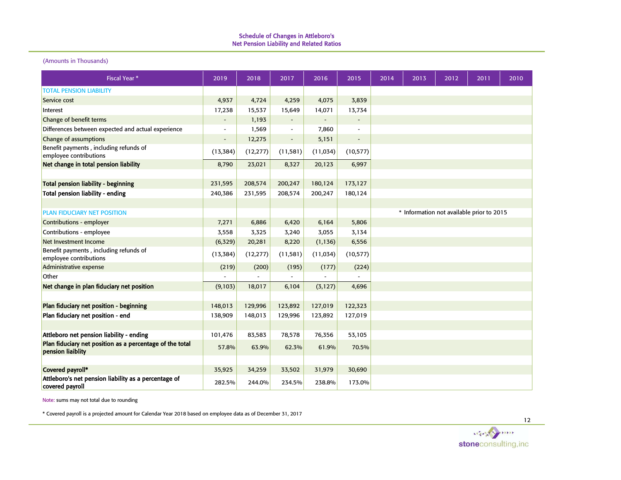#### (Amounts in Thousands)

| <b>Fiscal Year *</b>                                                          | 2019                     | 2018      | 2017                     | 2016      | 2015                     | 2014 | 2013 | 2012                                      | 2011 | 2010 |
|-------------------------------------------------------------------------------|--------------------------|-----------|--------------------------|-----------|--------------------------|------|------|-------------------------------------------|------|------|
| <b>TOTAL PENSION LIABILITY</b>                                                |                          |           |                          |           |                          |      |      |                                           |      |      |
| Service cost                                                                  | 4,937                    | 4,724     | 4,259                    | 4,075     | 3,839                    |      |      |                                           |      |      |
| Interest                                                                      | 17,238                   | 15,537    | 15,649                   | 14,071    | 13,734                   |      |      |                                           |      |      |
| Change of benefit terms                                                       |                          | 1,193     | $\overline{\phantom{a}}$ |           |                          |      |      |                                           |      |      |
| Differences between expected and actual experience                            |                          | 1,569     | $\overline{\phantom{a}}$ | 7,860     |                          |      |      |                                           |      |      |
| Change of assumptions                                                         | $\overline{\phantom{0}}$ | 12,275    | $\overline{\phantom{a}}$ | 5,151     | $\overline{\phantom{a}}$ |      |      |                                           |      |      |
| Benefit payments, including refunds of<br>employee contributions              | (13, 384)                | (12, 277) | (11, 581)                | (11, 034) | (10, 577)                |      |      |                                           |      |      |
| Net change in total pension liability                                         | 8,790                    | 23,021    | 8,327                    | 20,123    | 6,997                    |      |      |                                           |      |      |
|                                                                               |                          |           |                          |           |                          |      |      |                                           |      |      |
| <b>Total pension liability - beginning</b>                                    | 231,595                  | 208,574   | 200,247                  | 180,124   | 173,127                  |      |      |                                           |      |      |
| <b>Total pension liability - ending</b>                                       | 240,386                  | 231,595   | 208,574                  | 200,247   | 180,124                  |      |      |                                           |      |      |
|                                                                               |                          |           |                          |           |                          |      |      |                                           |      |      |
| <b>PLAN FIDUCIARY NET POSITION</b>                                            |                          |           |                          |           |                          |      |      | * Information not available prior to 2015 |      |      |
| Contributions - employer                                                      | 7,271                    | 6,886     | 6,420                    | 6,164     | 5,806                    |      |      |                                           |      |      |
| Contributions - employee                                                      | 3,558                    | 3,325     | 3,240                    | 3,055     | 3,134                    |      |      |                                           |      |      |
| Net Investment Income                                                         | (6, 329)                 | 20,281    | 8,220                    | (1, 136)  | 6,556                    |      |      |                                           |      |      |
| Benefit payments, including refunds of<br>employee contributions              | (13, 384)                | (12, 277) | (11, 581)                | (11, 034) | (10, 577)                |      |      |                                           |      |      |
| Administrative expense                                                        | (219)                    | (200)     | (195)                    | (177)     | (224)                    |      |      |                                           |      |      |
| Other                                                                         |                          |           |                          |           |                          |      |      |                                           |      |      |
| Net change in plan fiduciary net position                                     | (9,103)                  | 18,017    | 6,104                    | (3, 127)  | 4,696                    |      |      |                                           |      |      |
|                                                                               |                          |           |                          |           |                          |      |      |                                           |      |      |
| Plan fiduciary net position - beginning                                       | 148,013                  | 129,996   | 123,892                  | 127,019   | 122,323                  |      |      |                                           |      |      |
| Plan fiduciary net position - end                                             | 138,909                  | 148,013   | 129,996                  | 123,892   | 127,019                  |      |      |                                           |      |      |
|                                                                               |                          |           |                          |           |                          |      |      |                                           |      |      |
| Attleboro net pension liability - ending                                      | 101,476                  | 83,583    | 78,578                   | 76,356    | 53,105                   |      |      |                                           |      |      |
| Plan fiduciary net position as a percentage of the total<br>pension liaiblity | 57.8%                    | 63.9%     | 62.3%                    | 61.9%     | 70.5%                    |      |      |                                           |      |      |
|                                                                               |                          |           |                          |           |                          |      |      |                                           |      |      |
| Covered payroll*                                                              | 35,925                   | 34,259    | 33,502                   | 31,979    | 30,690                   |      |      |                                           |      |      |
| Attleboro's net pension liability as a percentage of<br>covered payroll       | 282.5%                   | 244.0%    | 234.5%                   | 238.8%    | 173.0%                   |      |      |                                           |      |      |

Note: sums may not total due to rounding

\* Covered payroll is a projected amount for Calendar Year 2018 based on employee data as of December 31, 2017

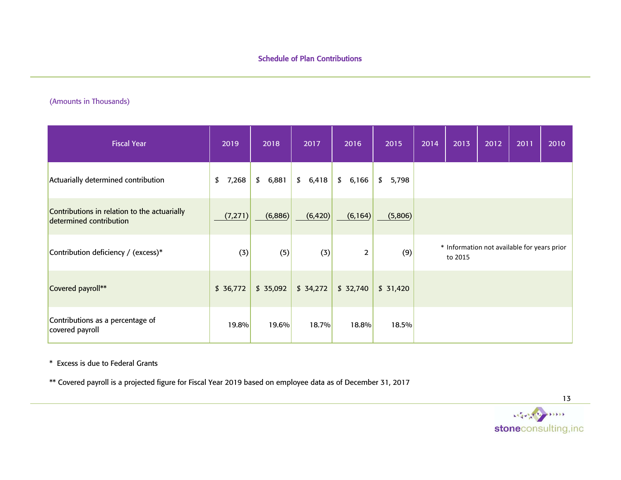# (Amounts in Thousands)

| <b>Fiscal Year</b>                                                      | 2019        | 2018     | 2017     | 2016           | 2015     | 2014 | 2013    | 2012 | 2011                                        | 2010 |
|-------------------------------------------------------------------------|-------------|----------|----------|----------------|----------|------|---------|------|---------------------------------------------|------|
| Actuarially determined contribution                                     | \$<br>7,268 | \$6,881  | \$6,418  | \$6,166        | \$5,798  |      |         |      |                                             |      |
| Contributions in relation to the actuarially<br>determined contribution | (7, 271)    | (6,886)  | (6, 420) | (6, 164)       | (5,806)  |      |         |      |                                             |      |
| Contribution deficiency / (excess)*                                     | (3)         | (5)      | (3)      | $\overline{2}$ | (9)      |      | to 2015 |      | * Information not available for years prior |      |
| Covered payroll**                                                       | \$36,772    | \$35,092 | \$34,272 | \$32,740       | \$31,420 |      |         |      |                                             |      |
| Contributions as a percentage of<br>covered payroll                     | 19.8%       | 19.6%    | 18.7%    | 18.8%          | 18.5%    |      |         |      |                                             |      |

\* Excess is due to Federal Grants

\*\* Covered payroll is a projected figure for Fiscal Year 2019 based on employee data as of December 31, 2017

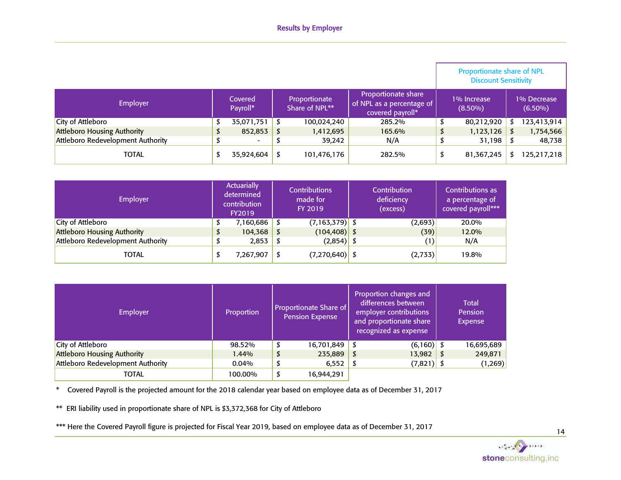|                                    |                     |                                 |                                                                      | Proportionate share of NPL<br><b>Discount Sensitivity</b> |                           |
|------------------------------------|---------------------|---------------------------------|----------------------------------------------------------------------|-----------------------------------------------------------|---------------------------|
| Employer                           | Covered<br>Payroll* | Proportionate<br>Share of NPL** | Proportionate share<br>of NPL as a percentage of<br>covered payroll* | 1% Increase<br>$(8.50\%)$                                 | 1% Decrease<br>$(6.50\%)$ |
| City of Attleboro                  | 35,071,751          | 100,024,240                     | 285.2%                                                               | 80,212,920                                                | 123,413,914               |
| <b>Attleboro Housing Authority</b> | \$<br>$852,853$ \$  | 1,412,695                       | 165.6%                                                               | \$<br>1,123,126                                           | 1,754,566                 |
| Attleboro Redevelopment Authority  | ۰.                  | 39,242                          | N/A                                                                  | 31,198                                                    | 48,738                    |
| TOTAL                              | 35,924,604          | 101,476,176                     | 282.5%                                                               | 81,367,245                                                | 125,217,218               |

| <b>Employer</b>                    | <b>Actuarially</b><br>determined<br>contribution<br><b>FY2019</b> | <b>Contributions</b><br>made for<br>FY 2019 | Contribution<br>deficiency<br>(excess) | Contributions as<br>a percentage of<br>covered payroll*** |
|------------------------------------|-------------------------------------------------------------------|---------------------------------------------|----------------------------------------|-----------------------------------------------------------|
| City of Attleboro                  | 7,160,686                                                         | $(7,163,379)$ \$                            | (2,693)                                | 20.0%                                                     |
| <b>Attleboro Housing Authority</b> | 104,368                                                           | $(104, 408)$ \$                             | (39)                                   | 12.0%                                                     |
| Attleboro Redevelopment Authority  | 2,853                                                             | $(2,854)$ \$                                | $^{\prime}$ 1)                         | N/A                                                       |
| TOTAL                              | 7,267,907                                                         | $(7,270,640)$ \$                            | (2, 733)                               | 19.8%                                                     |

| Employer                           | Proportion |   | <b>Proportionate Share of</b><br><b>Pension Expense</b> | Proportion changes and<br>differences between<br>employer contributions<br>and proportionate share<br>recognized as expense | <b>Total</b><br><b>Pension</b><br>Expense |
|------------------------------------|------------|---|---------------------------------------------------------|-----------------------------------------------------------------------------------------------------------------------------|-------------------------------------------|
| City of Attleboro                  | 98.52%     | D | 16,701,849                                              | $(6,160)$ \$                                                                                                                | 16,695,689                                |
| <b>Attleboro Housing Authority</b> | 1.44%      | D | 235,889                                                 | 13,982                                                                                                                      | \$<br>249,871                             |
| Attleboro Redevelopment Authority  | $0.04\%$   | D | 6,552                                                   | $(7,821)$ \$                                                                                                                | (1, 269)                                  |
| TOTAL                              | 100.00%    |   | 16,944,291                                              |                                                                                                                             |                                           |

\* Covered Payroll is the projected amount for the 2018 calendar year based on employee data as of December 31, 2017

\*\* ERI liability used in proportionate share of NPL is \$3,372,368 for City of Attleboro

\*\*\* Here the Covered Payroll figure is projected for Fiscal Year 2019, based on employee data as of December 31, 2017

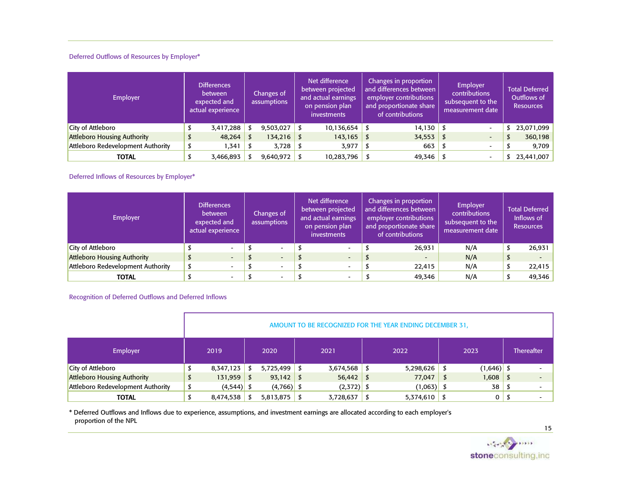#### Deferred Outflows of Resources by Employer\*

| <b>Employer</b>                    | <b>Differences</b><br>between<br>expected and<br>actual experience<br>3,417,288<br>48,264 |           |  | Changes of<br>assumptions | Net difference<br>between projected<br>and actual earnings<br>on pension plan<br>investments | Changes in proportion<br>and differences between<br>employer contributions<br>and proportionate share<br>of contributions | <b>Employer</b><br>contributions<br>subsequent to the<br>measurement date | <b>Total Deferred</b><br>Outflows of<br><b>Resources</b> |
|------------------------------------|-------------------------------------------------------------------------------------------|-----------|--|---------------------------|----------------------------------------------------------------------------------------------|---------------------------------------------------------------------------------------------------------------------------|---------------------------------------------------------------------------|----------------------------------------------------------|
| City of Attleboro                  |                                                                                           |           |  | 9,503,027                 | 10,136,654                                                                                   | $14,130$ \$                                                                                                               | $\overline{\phantom{0}}$                                                  | 23,071,099                                               |
| <b>Attleboro Housing Authority</b> |                                                                                           |           |  | $134,216$ \$              | 143,165                                                                                      | 34,553                                                                                                                    | $\overline{\phantom{0}}$                                                  | 360,198                                                  |
| Attleboro Redevelopment Authority  |                                                                                           | .341      |  | 3,728                     | 3,977                                                                                        | 663                                                                                                                       | $\overline{\phantom{0}}$                                                  | 9,709                                                    |
| <b>TOTAL</b>                       |                                                                                           | 3,466,893 |  | 9,640,972                 | 10,283,796                                                                                   | $49,346$ \$                                                                                                               | $\overline{\phantom{0}}$                                                  | \$23,441,007                                             |

#### Deferred Inflows of Resources by Employer\*

| <b>Employer</b>                    | <b>Differences</b><br><b>between</b><br>expected and<br>actual experience<br>$\overline{\phantom{0}}$<br>$\overline{\phantom{a}}$ |                          |  | Changes of<br>assumptions | Net difference<br>between projected<br>and actual earnings<br>on pension plan<br>investments | Changes in proportion<br>and differences between<br>employer contributions<br>and proportionate share<br>of contributions | Employer<br><b>contributions</b><br>subsequent to the<br>measurement date |               | <b>Total Deferred</b><br>Inflows of<br><b>Resources</b> |
|------------------------------------|-----------------------------------------------------------------------------------------------------------------------------------|--------------------------|--|---------------------------|----------------------------------------------------------------------------------------------|---------------------------------------------------------------------------------------------------------------------------|---------------------------------------------------------------------------|---------------|---------------------------------------------------------|
| City of Attleboro                  |                                                                                                                                   |                          |  | $\overline{\phantom{0}}$  | $\sim$                                                                                       | 26,931                                                                                                                    | N/A                                                                       |               | 26,931                                                  |
| <b>Attleboro Housing Authority</b> |                                                                                                                                   |                          |  | $\overline{\phantom{0}}$  | $\overline{a}$                                                                               | $\overline{\phantom{0}}$                                                                                                  | N/A                                                                       | $\mathcal{P}$ | $\overline{\phantom{a}}$                                |
| Attleboro Redevelopment Authority  |                                                                                                                                   | $\overline{\phantom{0}}$ |  |                           | $\overline{\phantom{0}}$                                                                     | 22,415                                                                                                                    | N/A                                                                       |               | 22,415                                                  |
| TOTAL                              |                                                                                                                                   | $\overline{\phantom{0}}$ |  |                           |                                                                                              | 49,346                                                                                                                    | N/A                                                                       |               | 49,346                                                  |

#### Recognition of Deferred Outflows and Deferred Inflows

|                                    |              |              |              |                |              |           |              | AMOUNT TO BE RECOGNIZED FOR THE YEAR ENDING DECEMBER 31, |   |                |                   |
|------------------------------------|--------------|--------------|--------------|----------------|--------------|-----------|--------------|----------------------------------------------------------|---|----------------|-------------------|
| Employer                           | 2020<br>2019 |              |              |                |              | 2021      |              | 2022                                                     |   | 2023           | <b>Thereafter</b> |
| City of Attleboro                  |              | 8,347,123    |              | $5,725,499$ \$ |              | 3,674,568 |              | 5,298,626                                                |   | $(1,646)$ \$   |                   |
| <b>Attleboro Housing Authority</b> | \$           | 131,959      | \$           | $93,142$ \$    |              | 56,442    | S            | 77,047                                                   | S | $1,608$ \$     |                   |
| Attleboro Redevelopment Authority  |              | $(4,544)$ \$ | $(4,766)$ \$ |                | $(2,372)$ \$ |           | $(1,063)$ \$ |                                                          |   | 38             |                   |
| <b>TOTAL</b>                       |              | 8,474,538    |              | $5,813,875$ \$ |              | 3,728,637 |              | $5,374,610$ \$                                           |   | 0 <sup>1</sup> |                   |

\* Deferred Outflows and Inflows due to experience, assumptions, and investment earnings are allocated according to each employer's proportion of the NPL

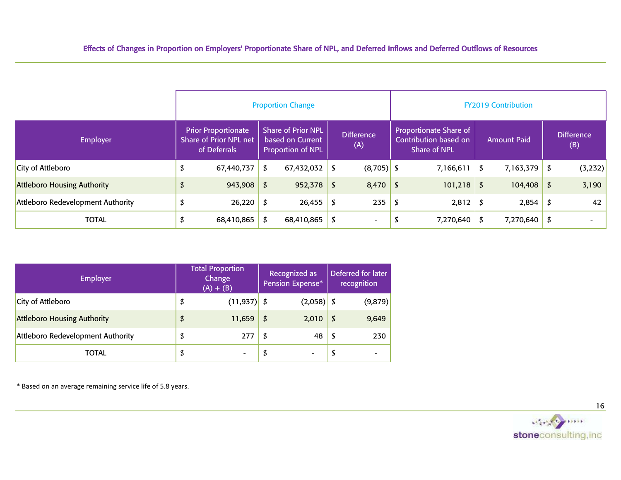|                                    |   |                                                                      |                  | <b>Proportion Change</b>                                                  |                                 |                   |             |                                                                               |            | <b>FY2019 Contribution</b> |                          |
|------------------------------------|---|----------------------------------------------------------------------|------------------|---------------------------------------------------------------------------|---------------------------------|-------------------|-------------|-------------------------------------------------------------------------------|------------|----------------------------|--------------------------|
| <b>Employer</b>                    |   | <b>Prior Proportionate</b><br>Share of Prior NPL net<br>of Deferrals |                  | <b>Share of Prior NPL</b><br>based on Current<br><b>Proportion of NPL</b> |                                 | Difference<br>(A) |             | <b>Proportionate Share of</b><br>Contribution based on<br><b>Share of NPL</b> |            | <b>Amount Paid</b>         | <b>Difference</b><br>(B) |
| City of Attleboro                  | J | 67,440,737                                                           | 67,432,032<br>\$ |                                                                           |                                 | $(8,705)$ \$      |             | 7,166,611                                                                     | \$         | $7,163,379$ \$             | (3, 232)                 |
| <b>Attleboro Housing Authority</b> | D | 943,908                                                              | \$               | $952,378$ \$                                                              |                                 | 8,470             | - S         | 101,218                                                                       | \$         | $104,408$ \$               | 3,190                    |
| Attleboro Redevelopment Authority  |   | 26,220                                                               |                  | 26,455                                                                    | \$                              | 235               | 2,812<br>\$ |                                                                               | $2,854$ \$ |                            | 42                       |
| <b>TOTAL</b>                       |   | 68,410,865                                                           | 68,410,865<br>\$ |                                                                           | - S<br>$\overline{\phantom{a}}$ |                   | 7,270,640   |                                                                               |            | $7,270,640$ \$             |                          |

| Employer                           | <b>Total Proportion</b><br>Change<br>$(A) + (B)$ |      | Recognized as<br>Pension Expense* | Deferred for later<br>recognition |
|------------------------------------|--------------------------------------------------|------|-----------------------------------|-----------------------------------|
| City of Attleboro                  | \$<br>$(11, 937)$ \$                             |      | $(2,058)$ \$                      | (9, 879)                          |
| <b>Attleboro Housing Authority</b> | \$<br>11,659                                     | \$   | 2,010                             | \$<br>9,649                       |
| Attleboro Redevelopment Authority  | \$<br>277                                        | - \$ | 48                                | \$<br>230                         |
| TOTAL                              | \$                                               |      |                                   | \$                                |

\* Based on an average remaining service life of 5.8 years.

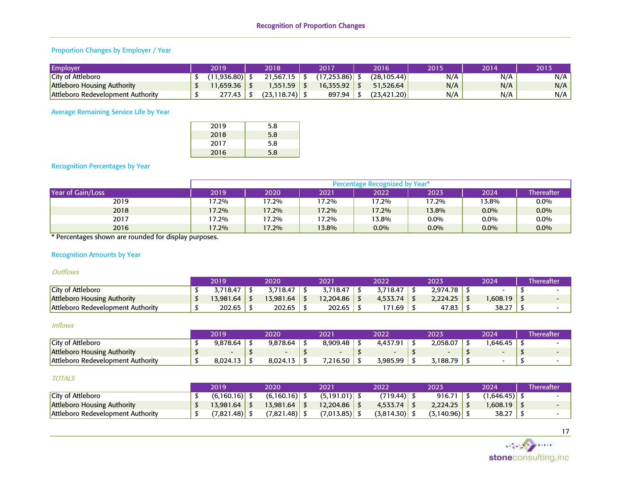# Proportion Changes by Employer / Year

| Employer                                 | 2019        | 2018             | 2017            | 2016        | 2015 | 2014 | 2013 |
|------------------------------------------|-------------|------------------|-----------------|-------------|------|------|------|
| <b>City of Attleboro</b>                 | (11.936.80) | 21,567.15        | (17,253.86)  \$ | (28.105.44) | N/A  | N/A  | N/A  |
| <b>Attleboro Housing Authority</b>       | 1.659.36    | .551.59          | 16.355.92       | 51.526.64   | N/A  | N/A  | N/A  |
| <b>Attleboro Redevelopment Authority</b> | 277.43      | $(23.118.74)$ \$ | 897.94          | (23.421.20) | N/A  | N/A  | N/A  |

Average Remaining Service Life by Year

| 2019 | 5.8 |
|------|-----|
| 2018 | 5.8 |
| 2017 | 5.8 |
| 2016 | 5.8 |

#### Recognition Percentages by Year

|                                   |       |       |       | Percentage Recognized by Year* |         |         |                   |
|-----------------------------------|-------|-------|-------|--------------------------------|---------|---------|-------------------|
| Year of Gain/Loss                 | 2019' | 2020  | 2021  | 2022                           | 2023    | 2024    | <b>Thereafter</b> |
| 2019                              | 17.2% | 17.2% | 17.2% | 17.2%                          | $7.2\%$ | 13.8%   | $0.0\%$           |
| 2018                              | 17.2% | 17.2% | 17.2% | 17.2%                          | 13.8%   | $0.0\%$ | $0.0\%$           |
| 2017                              | 17.2% | 17.2% | 17.2% | 13.8%                          | 0.0%    | $0.0\%$ | $0.0\%$           |
| 2016<br>.<br>$\sim$ $\sim$ $\sim$ | 17.2% | 17.2% | 13.8% | $0.0\%$                        | $0.0\%$ | $0.0\%$ | $0.0\%$           |

\* Percentages shown are rounded for display purposes.

#### Recognition Amounts by Year

#### **Outflows**

|                                    | 2019      | 2020      | 2021      | 2022     | 2023     | 2024    | <b>Thereafter</b> |
|------------------------------------|-----------|-----------|-----------|----------|----------|---------|-------------------|
| City of Attleboro                  | 3,718.47  | 3,718.47  | 3,718.47  | .718.47  | 2,974.78 | -       |                   |
| <b>Attleboro Housing Authority</b> | 13.981.64 | 13.981.64 | 12.204.86 | 4,533,74 | 2,224.25 | .608.19 |                   |
| Attleboro Redevelopment Authority  | 202.65    | 202.65    | 202.65    | 171.69   | 47.83    | 38.27   |                   |

#### Inflows

|                                    | 2019     | 2020     | י במר<br>ZUZ. | 2022     | 2023     | 2024    | hereatter |
|------------------------------------|----------|----------|---------------|----------|----------|---------|-----------|
| City of Attleboro                  | 9,878.64 | 9,878.64 | 8,909.48      | 4,437.91 | 2.058.07 | .646.45 |           |
| <b>Attleboro Housing Authority</b> |          |          |               |          |          |         |           |
| Attleboro Redevelopment Authority  | د8,024.1 | 8,024.13 | 7,216.50      | 3.985.99 | 3.188.79 |         |           |

#### **TOTALS**

|                                    | 2019        | 2020            | 2021            | 2022       | 2023       | 2024    | \Thereafter |
|------------------------------------|-------------|-----------------|-----------------|------------|------------|---------|-------------|
| City of Attleboro                  | (6,160.16)  | $(6,160.16)$ \$ |                 | (719.44)   | 916.71     |         |             |
| <b>Attleboro Housing Authority</b> | 13.981.64 l | 13.981.64       | 12.204.86       | 4,533,74   | 2.224.25   | .608.19 |             |
| Attleboro Redevelopment Authority  | (7.821.48)  | $(7.821.48)$ \$ | $(7,013.85)$ \$ | (3,814.30) | (3.140.96) | 38.27   |             |